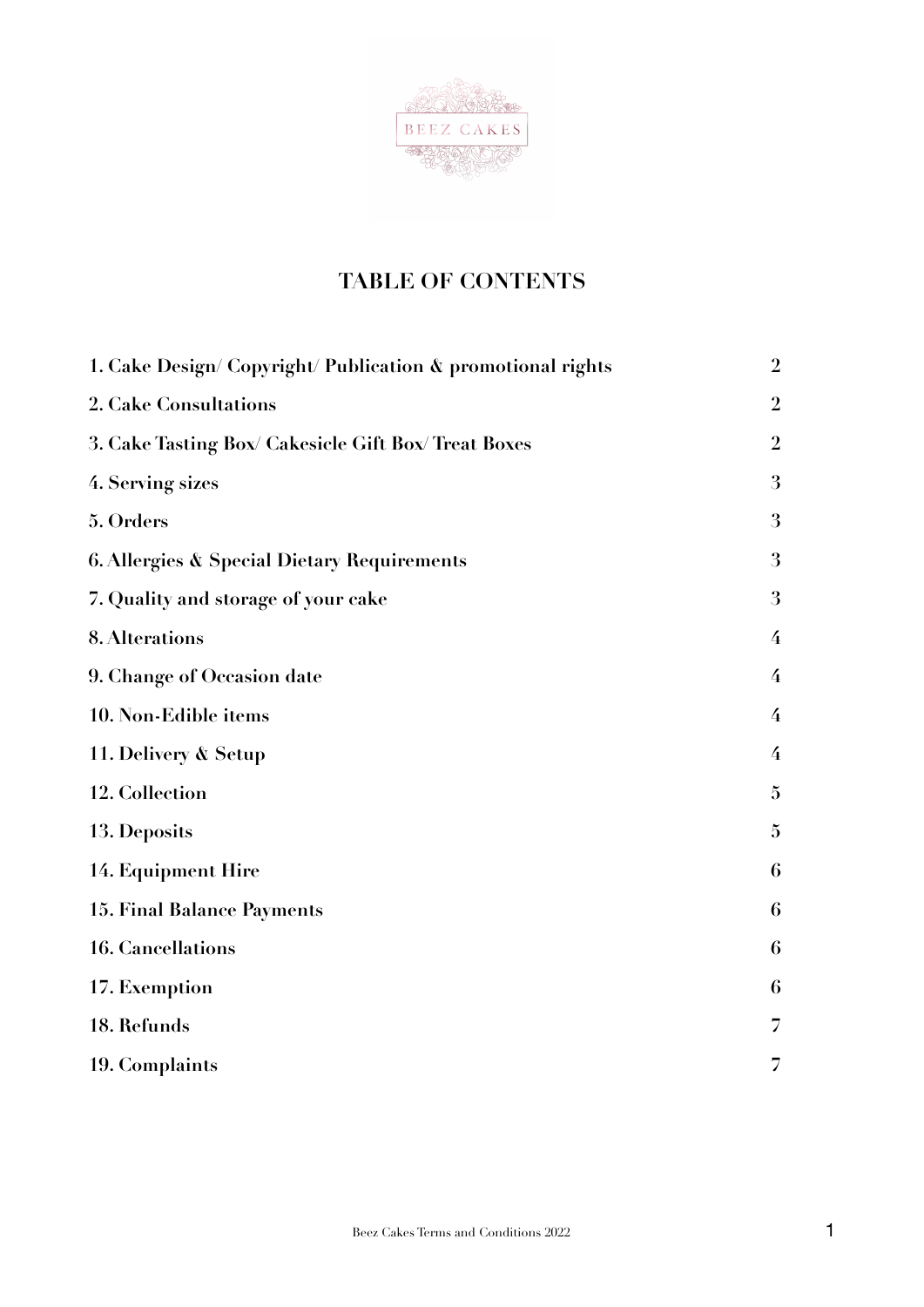

# **TABLE OF CONTENTS**

| 1. Cake Design/ Copyright/ Publication & promotional rights | $\overline{2}$ |
|-------------------------------------------------------------|----------------|
| 2. Cake Consultations                                       | $\overline{2}$ |
| 3. Cake Tasting Box/ Cakesicle Gift Box/ Treat Boxes        | $\overline{2}$ |
| 4. Serving sizes                                            | 3              |
| 5. Orders                                                   | 3              |
| <b>6. Allergies &amp; Special Dietary Requirements</b>      | 3              |
| 7. Quality and storage of your cake                         | 3              |
| 8. Alterations                                              | $\overline{4}$ |
| 9. Change of Occasion date                                  | $\overline{4}$ |
| 10. Non-Edible items                                        | $\overline{4}$ |
| 11. Delivery & Setup                                        | $\overline{4}$ |
| 12. Collection                                              | $\mathbf{5}$   |
| 13. Deposits                                                | $\mathbf{5}$   |
| 14. Equipment Hire                                          | 6              |
| <b>15. Final Balance Payments</b>                           | 6              |
| <b>16. Cancellations</b>                                    | 6              |
| 17. Exemption                                               | 6              |
| 18. Refunds                                                 | 7              |
| 19. Complaints                                              | 7              |
|                                                             |                |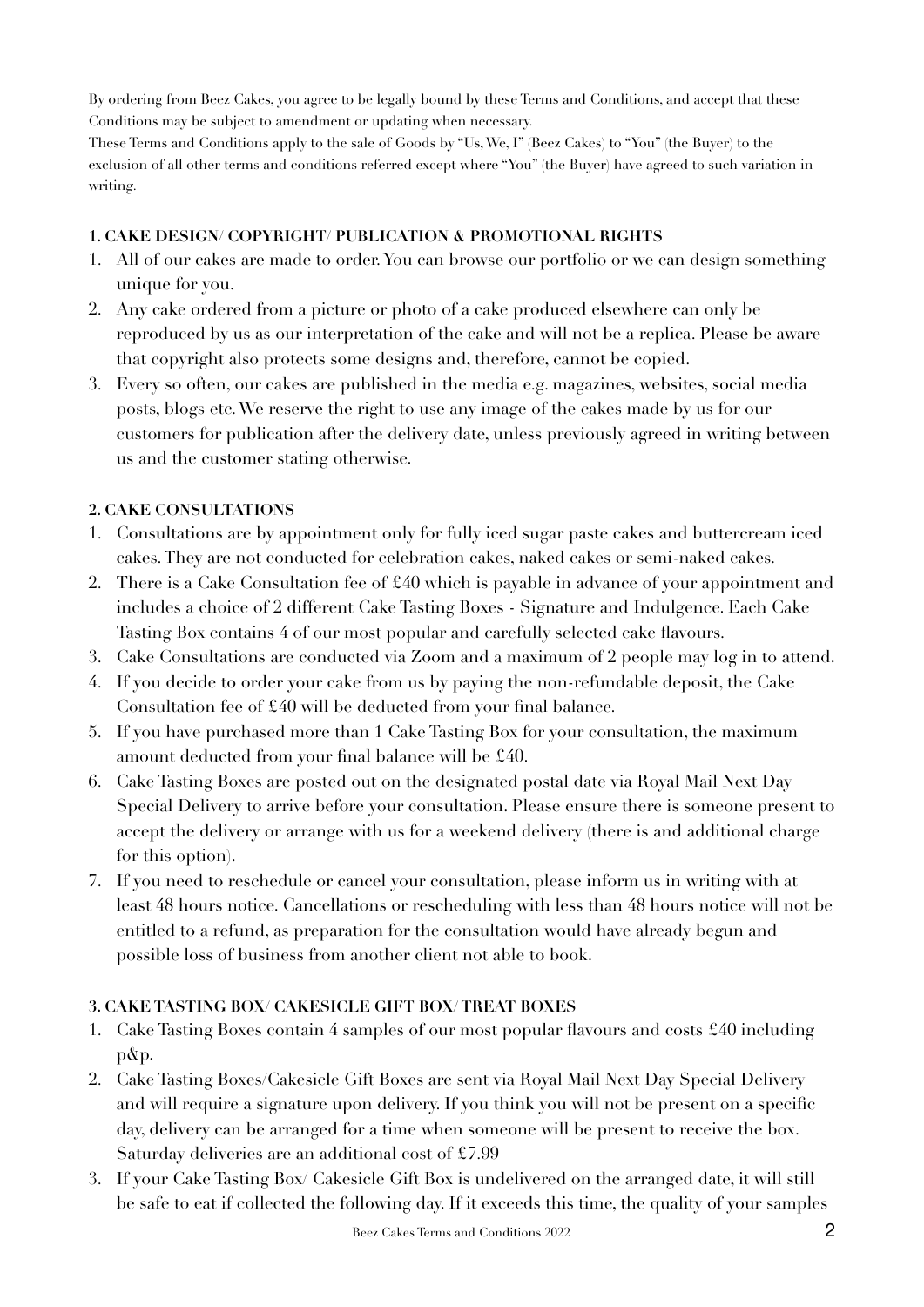By ordering from Beez Cakes, you agree to be legally bound by these Terms and Conditions, and accept that these Conditions may be subject to amendment or updating when necessary.

These Terms and Conditions apply to the sale of Goods by "Us, We, I" (Beez Cakes) to "You" (the Buyer) to the exclusion of all other terms and conditions referred except where "You" (the Buyer) have agreed to such variation in writing.

## <span id="page-1-0"></span>**1. CAKE DESIGN/ COPYRIGHT/ PUBLICATION & PROMOTIONAL RIGHTS**

- 1. All of our cakes are made to order. You can browse our portfolio or we can design something unique for you.
- 2. Any cake ordered from a picture or photo of a cake produced elsewhere can only be reproduced by us as our interpretation of the cake and will not be a replica. Please be aware that copyright also protects some designs and, therefore, cannot be copied.
- 3. Every so often, our cakes are published in the media e.g. magazines, websites, social media posts, blogs etc. We reserve the right to use any image of the cakes made by us for our customers for publication after the delivery date, unless previously agreed in writing between us and the customer stating otherwise.

# <span id="page-1-1"></span>**2. CAKE CONSULTATIONS**

- 1. Consultations are by appointment only for fully iced sugar paste cakes and buttercream iced cakes. They are not conducted for celebration cakes, naked cakes or semi-naked cakes.
- 2. There is a Cake Consultation fee of £40 which is payable in advance of your appointment and includes a choice of 2 different Cake Tasting Boxes - Signature and Indulgence. Each Cake Tasting Box contains 4 of our most popular and carefully selected cake flavours.
- 3. Cake Consultations are conducted via Zoom and a maximum of 2 people may log in to attend.
- 4. If you decide to order your cake from us by paying the non-refundable deposit, the Cake Consultation fee of £40 will be deducted from your final balance.
- 5. If you have purchased more than 1 Cake Tasting Box for your consultation, the maximum amount deducted from your final balance will be £40.
- 6. Cake Tasting Boxes are posted out on the designated postal date via Royal Mail Next Day Special Delivery to arrive before your consultation. Please ensure there is someone present to accept the delivery or arrange with us for a weekend delivery (there is and additional charge for this option).
- 7. If you need to reschedule or cancel your consultation, please inform us in writing with at least 48 hours notice. Cancellations or rescheduling with less than 48 hours notice will not be entitled to a refund, as preparation for the consultation would have already begun and possible loss of business from another client not able to book.

# <span id="page-1-2"></span>**3. CAKE TASTING BOX/ CAKESICLE GIFT BOX/ TREAT BOXES**

- 1. Cake Tasting Boxes contain 4 samples of our most popular flavours and costs £40 including p&p.
- 2. Cake Tasting Boxes/Cakesicle Gift Boxes are sent via Royal Mail Next Day Special Delivery and will require a signature upon delivery. If you think you will not be present on a specific day, delivery can be arranged for a time when someone will be present to receive the box. Saturday deliveries are an additional cost of £7.99
- 3. If your Cake Tasting Box/ Cakesicle Gift Box is undelivered on the arranged date, it will still be safe to eat if collected the following day. If it exceeds this time, the quality of your samples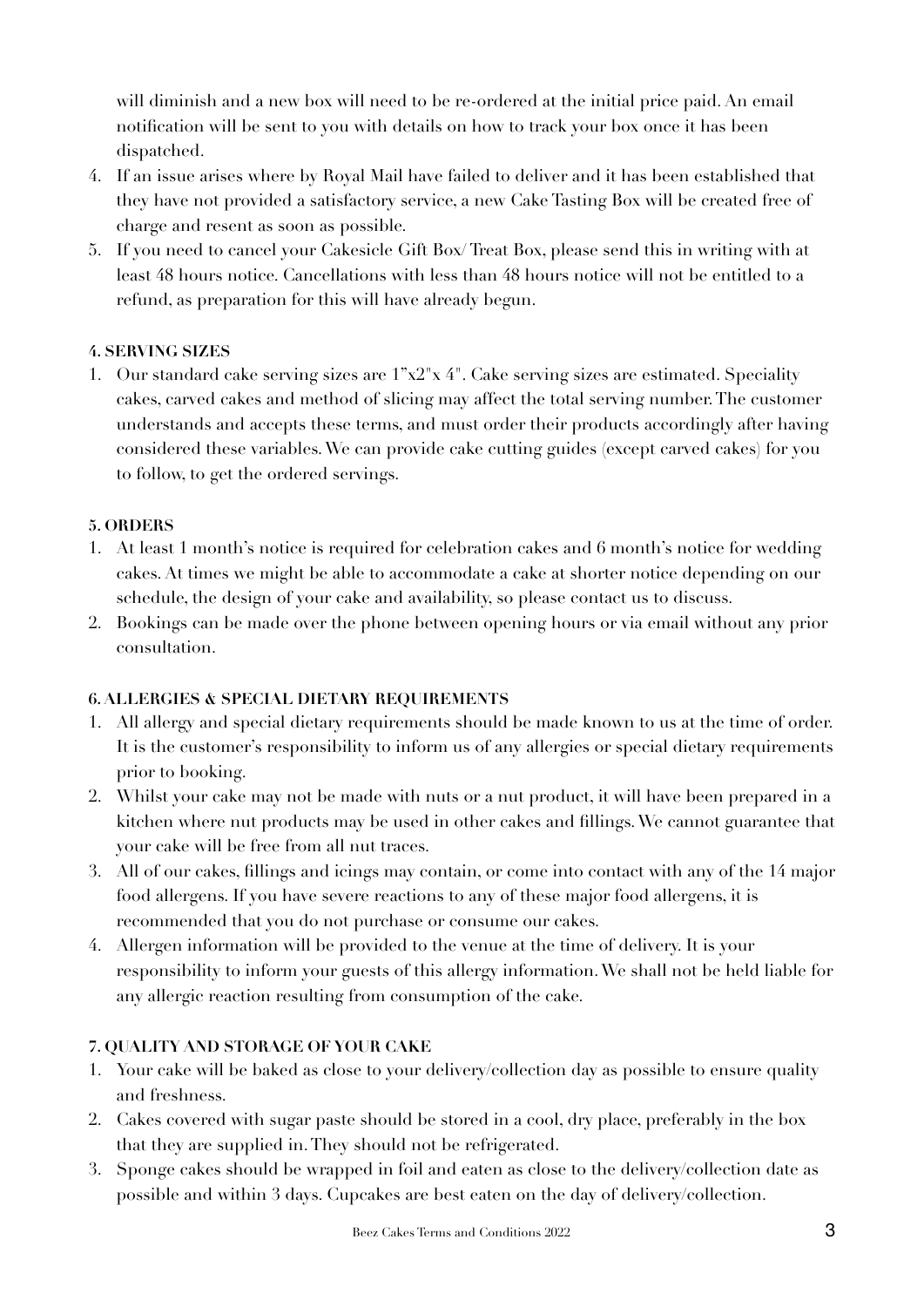will diminish and a new box will need to be re-ordered at the initial price paid. An email notification will be sent to you with details on how to track your box once it has been dispatched.

- 4. If an issue arises where by Royal Mail have failed to deliver and it has been established that they have not provided a satisfactory service, a new Cake Tasting Box will be created free of charge and resent as soon as possible.
- 5. If you need to cancel your Cakesicle Gift Box/ Treat Box, please send this in writing with at least 48 hours notice. Cancellations with less than 48 hours notice will not be entitled to a refund, as preparation for this will have already begun.

# <span id="page-2-0"></span>**4. SERVING SIZES**

1. Our standard cake serving sizes are  $1^{\circ}x2^{\circ}x4^{\circ}$ . Cake serving sizes are estimated. Speciality cakes, carved cakes and method of slicing may affect the total serving number. The customer understands and accepts these terms, and must order their products accordingly after having considered these variables. We can provide cake cutting guides (except carved cakes) for you to follow, to get the ordered servings.

## <span id="page-2-1"></span>**5. ORDERS**

- 1. At least 1 month's notice is required for celebration cakes and 6 month's notice for wedding cakes. At times we might be able to accommodate a cake at shorter notice depending on our schedule, the design of your cake and availability, so please contact us to discuss.
- 2. Bookings can be made over the phone between opening hours or via email without any prior consultation.

## <span id="page-2-2"></span>**6. ALLERGIES & SPECIAL DIETARY REQUIREMENTS**

- 1. All allergy and special dietary requirements should be made known to us at the time of order. It is the customer's responsibility to inform us of any allergies or special dietary requirements prior to booking.
- 2. Whilst your cake may not be made with nuts or a nut product, it will have been prepared in a kitchen where nut products may be used in other cakes and fillings. We cannot guarantee that your cake will be free from all nut traces.
- 3. All of our cakes, fillings and icings may contain, or come into contact with any of the 14 major food allergens. If you have severe reactions to any of these major food allergens, it is recommended that you do not purchase or consume our cakes.
- 4. Allergen information will be provided to the venue at the time of delivery. It is your responsibility to inform your guests of this allergy information. We shall not be held liable for any allergic reaction resulting from consumption of the cake.

## <span id="page-2-3"></span>**7. QUALITY AND STORAGE OF YOUR CAKE**

- 1. Your cake will be baked as close to your delivery/collection day as possible to ensure quality and freshness.
- 2. Cakes covered with sugar paste should be stored in a cool, dry place, preferably in the box that they are supplied in. They should not be refrigerated.
- 3. Sponge cakes should be wrapped in foil and eaten as close to the delivery/collection date as possible and within 3 days. Cupcakes are best eaten on the day of delivery/collection.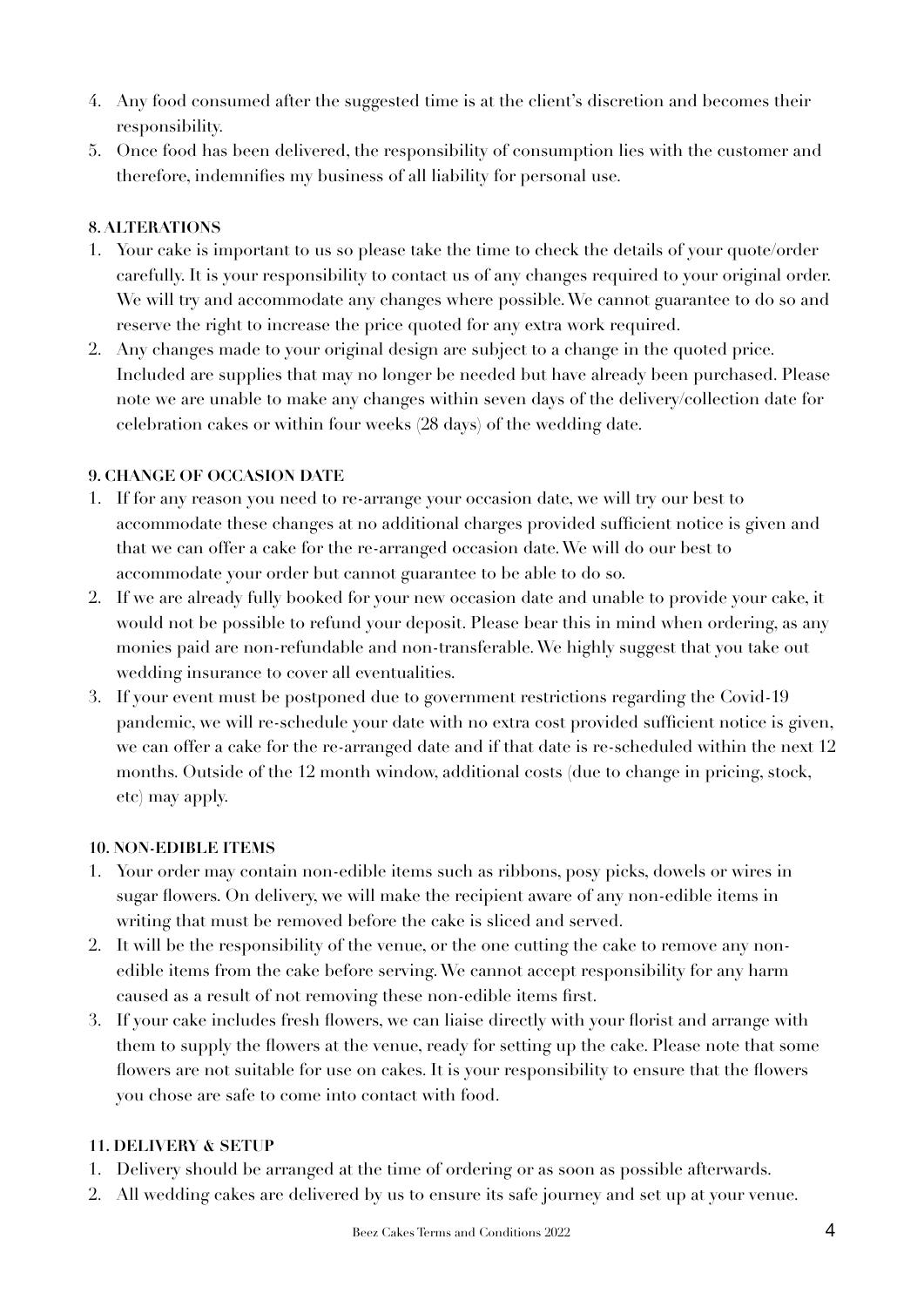- 4. Any food consumed after the suggested time is at the client's discretion and becomes their responsibility.
- 5. Once food has been delivered, the responsibility of consumption lies with the customer and therefore, indemnifies my business of all liability for personal use.

## <span id="page-3-0"></span>**8. ALTERATIONS**

- 1. Your cake is important to us so please take the time to check the details of your quote/order carefully. It is your responsibility to contact us of any changes required to your original order. We will try and accommodate any changes where possible. We cannot guarantee to do so and reserve the right to increase the price quoted for any extra work required.
- 2. Any changes made to your original design are subject to a change in the quoted price. Included are supplies that may no longer be needed but have already been purchased. Please note we are unable to make any changes within seven days of the delivery/collection date for celebration cakes or within four weeks (28 days) of the wedding date.

#### <span id="page-3-1"></span>**9. CHANGE OF OCCASION DATE**

- 1. If for any reason you need to re-arrange your occasion date, we will try our best to accommodate these changes at no additional charges provided sufficient notice is given and that we can offer a cake for the re-arranged occasion date. We will do our best to accommodate your order but cannot guarantee to be able to do so.
- 2. If we are already fully booked for your new occasion date and unable to provide your cake, it would not be possible to refund your deposit. Please bear this in mind when ordering, as any monies paid are non-refundable and non-transferable. We highly suggest that you take out wedding insurance to cover all eventualities.
- 3. If your event must be postponed due to government restrictions regarding the Covid-19 pandemic, we will re-schedule your date with no extra cost provided sufficient notice is given, we can offer a cake for the re-arranged date and if that date is re-scheduled within the next 12 months. Outside of the 12 month window, additional costs (due to change in pricing, stock, etc) may apply.

#### <span id="page-3-2"></span>**10. NON-EDIBLE ITEMS**

- 1. Your order may contain non-edible items such as ribbons, posy picks, dowels or wires in sugar flowers. On delivery, we will make the recipient aware of any non-edible items in writing that must be removed before the cake is sliced and served.
- 2. It will be the responsibility of the venue, or the one cutting the cake to remove any nonedible items from the cake before serving. We cannot accept responsibility for any harm caused as a result of not removing these non-edible items first.
- 3. If your cake includes fresh flowers, we can liaise directly with your florist and arrange with them to supply the flowers at the venue, ready for setting up the cake. Please note that some flowers are not suitable for use on cakes. It is your responsibility to ensure that the flowers you chose are safe to come into contact with food.

## <span id="page-3-3"></span>**11. DELIVERY & SETUP**

- 1. Delivery should be arranged at the time of ordering or as soon as possible afterwards.
- 2. All wedding cakes are delivered by us to ensure its safe journey and set up at your venue.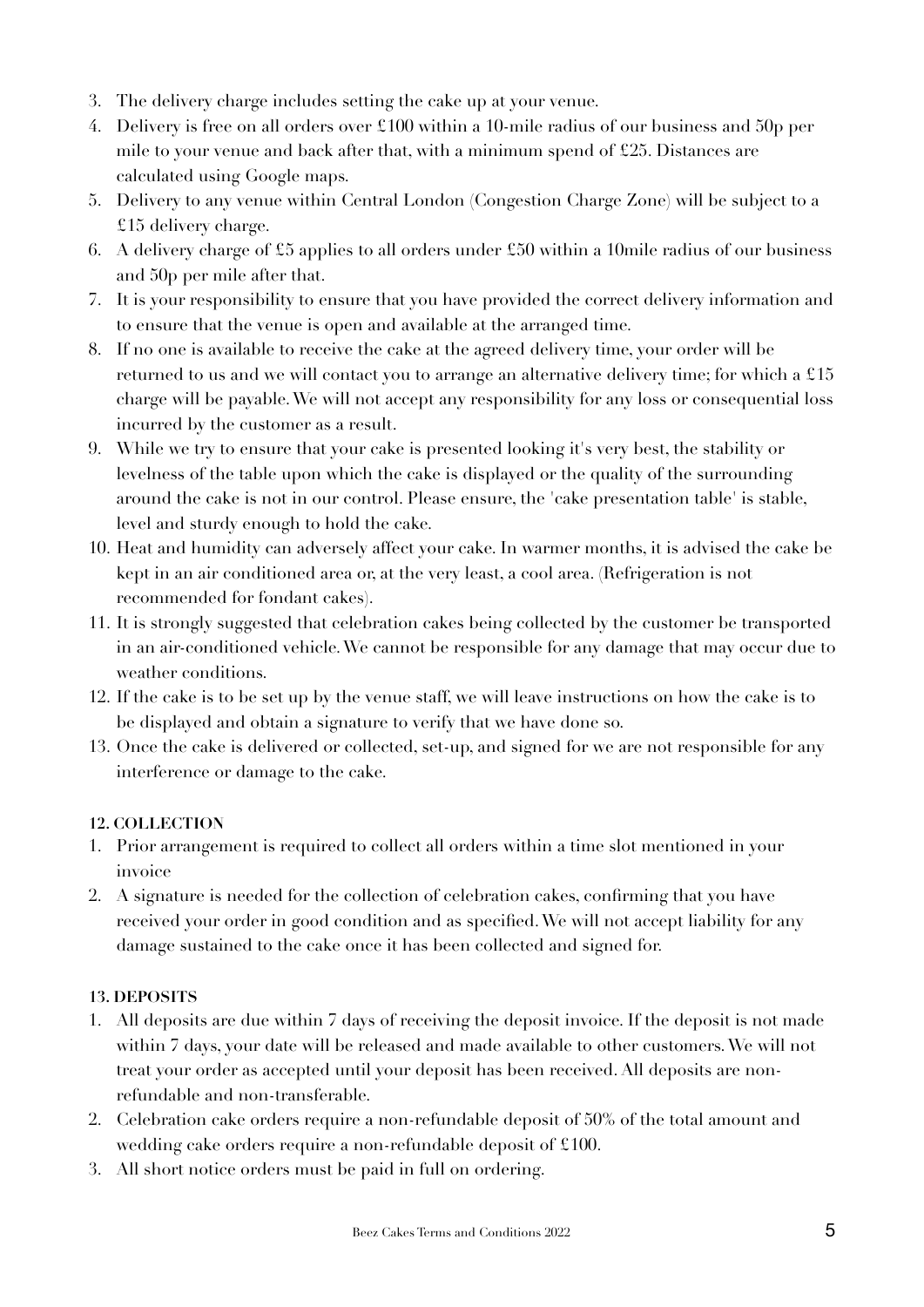- 3. The delivery charge includes setting the cake up at your venue.
- 4. Delivery is free on all orders over £100 within a 10-mile radius of our business and 50p per mile to your venue and back after that, with a minimum spend of £25. Distances are calculated using Google maps.
- 5. Delivery to any venue within Central London (Congestion Charge Zone) will be subject to a £15 delivery charge.
- 6. A delivery charge of £5 applies to all orders under £50 within a 10mile radius of our business and 50p per mile after that.
- 7. It is your responsibility to ensure that you have provided the correct delivery information and to ensure that the venue is open and available at the arranged time.
- 8. If no one is available to receive the cake at the agreed delivery time, your order will be returned to us and we will contact you to arrange an alternative delivery time; for which a £15 charge will be payable. We will not accept any responsibility for any loss or consequential loss incurred by the customer as a result.
- 9. While we try to ensure that your cake is presented looking it's very best, the stability or levelness of the table upon which the cake is displayed or the quality of the surrounding around the cake is not in our control. Please ensure, the 'cake presentation table' is stable, level and sturdy enough to hold the cake.
- 10. Heat and humidity can adversely affect your cake. In warmer months, it is advised the cake be kept in an air conditioned area or, at the very least, a cool area. (Refrigeration is not recommended for fondant cakes).
- 11. It is strongly suggested that celebration cakes being collected by the customer be transported in an air-conditioned vehicle. We cannot be responsible for any damage that may occur due to weather conditions.
- 12. If the cake is to be set up by the venue staff, we will leave instructions on how the cake is to be displayed and obtain a signature to verify that we have done so.
- 13. Once the cake is delivered or collected, set-up, and signed for we are not responsible for any interference or damage to the cake.

## <span id="page-4-0"></span>**12. COLLECTION**

- 1. Prior arrangement is required to collect all orders within a time slot mentioned in your invoice
- 2. A signature is needed for the collection of celebration cakes, confirming that you have received your order in good condition and as specified. We will not accept liability for any damage sustained to the cake once it has been collected and signed for.

# <span id="page-4-1"></span>**13. DEPOSITS**

- 1. All deposits are due within 7 days of receiving the deposit invoice. If the deposit is not made within 7 days, your date will be released and made available to other customers. We will not treat your order as accepted until your deposit has been received. All deposits are nonrefundable and non-transferable.
- 2. Celebration cake orders require a non-refundable deposit of 50% of the total amount and wedding cake orders require a non-refundable deposit of £100.
- 3. All short notice orders must be paid in full on ordering.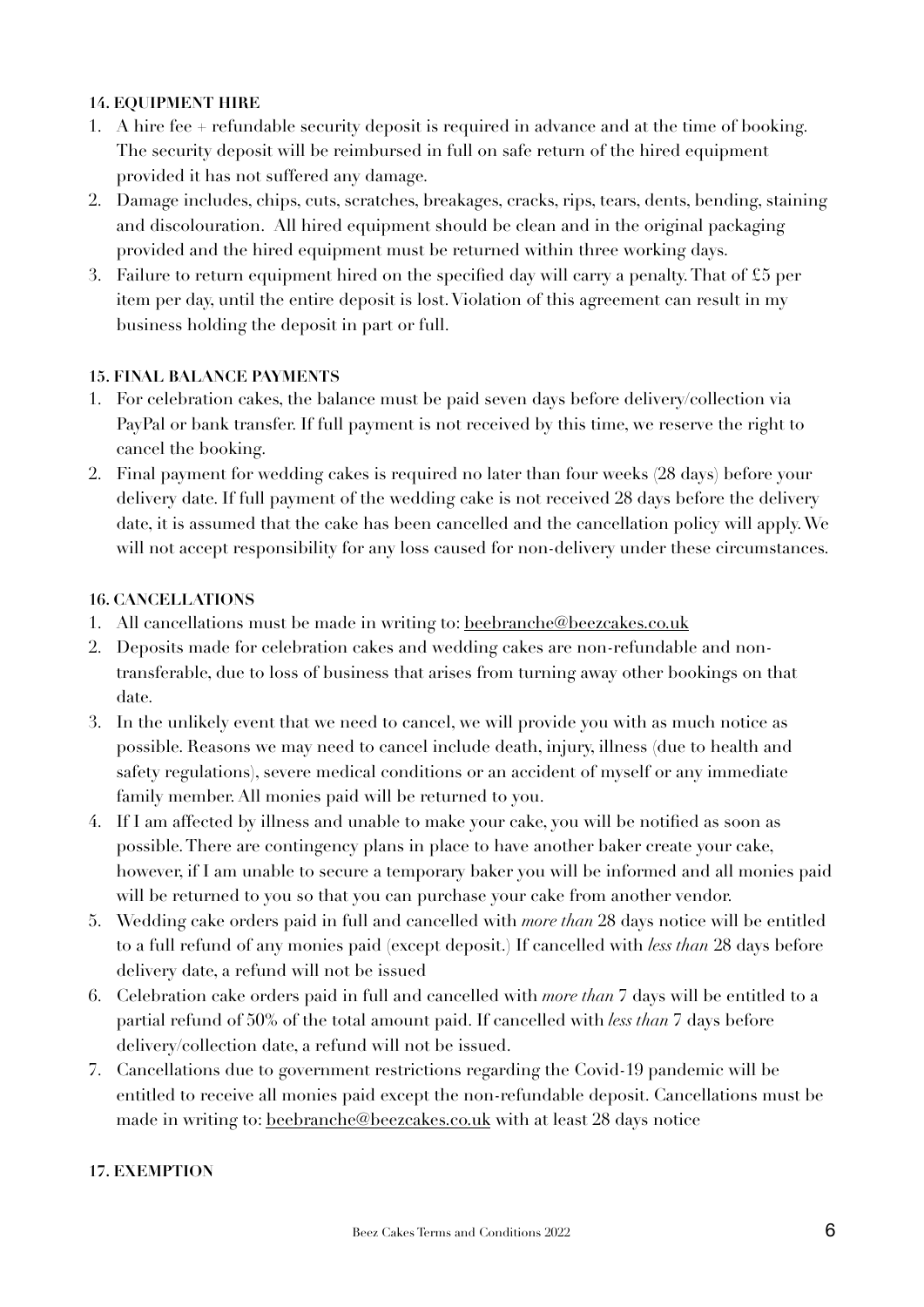## <span id="page-5-0"></span>**14. EQUIPMENT HIRE**

- 1. A hire fee + refundable security deposit is required in advance and at the time of booking. The security deposit will be reimbursed in full on safe return of the hired equipment provided it has not suffered any damage.
- 2. Damage includes, chips, cuts, scratches, breakages, cracks, rips, tears, dents, bending, staining and discolouration. All hired equipment should be clean and in the original packaging provided and the hired equipment must be returned within three working days.
- 3. Failure to return equipment hired on the specified day will carry a penalty. That of £5 per item per day, until the entire deposit is lost. Violation of this agreement can result in my business holding the deposit in part or full.

## <span id="page-5-1"></span>**15. FINAL BALANCE PAYMENTS**

- 1. For celebration cakes, the balance must be paid seven days before delivery/collection via PayPal or bank transfer. If full payment is not received by this time, we reserve the right to cancel the booking.
- 2. Final payment for wedding cakes is required no later than four weeks (28 days) before your delivery date. If full payment of the wedding cake is not received 28 days before the delivery date, it is assumed that the cake has been cancelled and the cancellation policy will apply. We will not accept responsibility for any loss caused for non-delivery under these circumstances.

## <span id="page-5-2"></span>**16. CANCELLATIONS**

- 1. All cancellations must be made in writing to: [beebranche@beezcakes.co.uk](mailto:beebranche@beezcakes.co.uk)
- 2. Deposits made for celebration cakes and wedding cakes are non-refundable and nontransferable, due to loss of business that arises from turning away other bookings on that date.
- 3. In the unlikely event that we need to cancel, we will provide you with as much notice as possible. Reasons we may need to cancel include death, injury, illness (due to health and safety regulations), severe medical conditions or an accident of myself or any immediate family member. All monies paid will be returned to you.
- 4. If I am affected by illness and unable to make your cake, you will be notified as soon as possible. There are contingency plans in place to have another baker create your cake, however, if I am unable to secure a temporary baker you will be informed and all monies paid will be returned to you so that you can purchase your cake from another vendor.
- 5. Wedding cake orders paid in full and cancelled with *more than* 28 days notice will be entitled to a full refund of any monies paid (except deposit.) If cancelled with *less than* 28 days before delivery date, a refund will not be issued
- 6. Celebration cake orders paid in full and cancelled with *more than* 7 days will be entitled to a partial refund of 50% of the total amount paid. If cancelled with *less than* 7 days before delivery/collection date, a refund will not be issued.
- 7. Cancellations due to government restrictions regarding the Covid-19 pandemic will be entitled to receive all monies paid except the non-refundable deposit. Cancellations must be made in writing to: [beebranche@beezcakes.co.uk](mailto:beebranche@beezcakes.co.uk) with at least 28 days notice

# <span id="page-5-3"></span>**17. EXEMPTION**